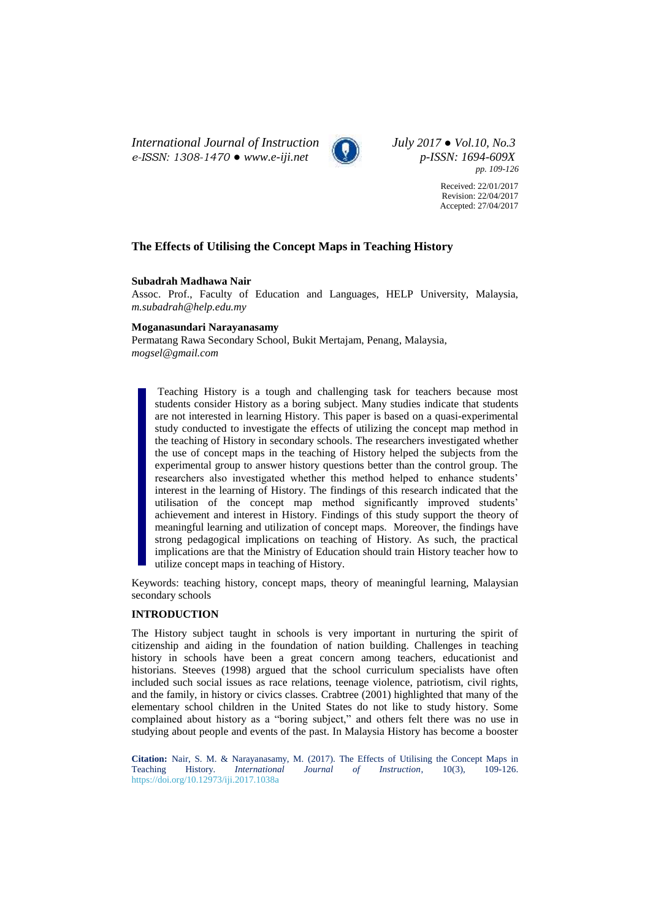*International Journal of Instruction July 2017 ● Vol.10, No.3 e-ISSN: 1308-1470 ● [www.e-iji.net](http://www.e-iji.net/) p-ISSN: 1694-609X*



*pp. 109-126*

Received: 22/01/2017 Revision: 22/04/2017 Accepted: 27/04/2017

# **The Effects of Utilising the Concept Maps in Teaching History**

## **Subadrah Madhawa Nair**

Assoc. Prof., Faculty of Education and Languages, HELP University, Malaysia, *m.subadrah@help.edu.my*

# **Moganasundari Narayanasamy**

Permatang Rawa Secondary School, Bukit Mertajam, Penang, Malaysia, *mogsel@gmail.com*

Teaching History is a tough and challenging task for teachers because most students consider History as a boring subject. Many studies indicate that students are not interested in learning History. This paper is based on a quasi-experimental study conducted to investigate the effects of utilizing the concept map method in the teaching of History in secondary schools. The researchers investigated whether the use of concept maps in the teaching of History helped the subjects from the experimental group to answer history questions better than the control group. The researchers also investigated whether this method helped to enhance students' interest in the learning of History. The findings of this research indicated that the utilisation of the concept map method significantly improved students' achievement and interest in History. Findings of this study support the theory of meaningful learning and utilization of concept maps. Moreover, the findings have strong pedagogical implications on teaching of History. As such, the practical implications are that the Ministry of Education should train History teacher how to utilize concept maps in teaching of History.

Keywords: teaching history, concept maps, theory of meaningful learning, Malaysian secondary schools

# **INTRODUCTION**

The History subject taught in schools is very important in nurturing the spirit of citizenship and aiding in the foundation of nation building. Challenges in teaching history in schools have been a great concern among teachers, educationist and historians. Steeves (1998) argued that the school curriculum specialists have often included such social issues as race relations, teenage violence, patriotism, civil rights, and the family, in history or civics classes. Crabtree (2001) highlighted that many of the elementary school children in the United States do not like to study history. Some complained about history as a "boring subject," and others felt there was no use in studying about people and events of the past. In Malaysia History has become a booster

**Citation:** Nair, S. M. & Narayanasamy, M. (2017). The Effects of Utilising the Concept Maps in Teaching History. *International Journal of Instruction*, 10(3), 109-126. <https://doi.org/10.12973/iji.2017.1038a>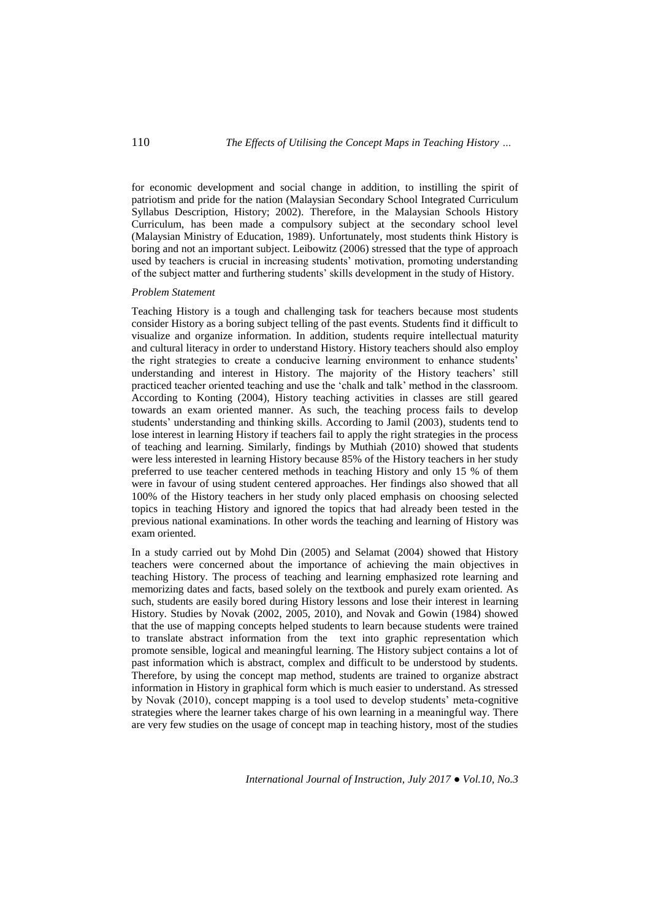for economic development and social change in addition, to instilling the spirit of patriotism and pride for the nation (Malaysian Secondary School Integrated Curriculum Syllabus Description, History; 2002). Therefore, in the Malaysian Schools History Curriculum, has been made a compulsory subject at the secondary school level (Malaysian Ministry of Education, 1989). Unfortunately, most students think History is boring and not an important subject. Leibowitz (2006) stressed that the type of approach used by teachers is crucial in increasing students' motivation, promoting understanding of the subject matter and furthering students' skills development in the study of History.

### *Problem Statement*

Teaching History is a tough and challenging task for teachers because most students consider History as a boring subject telling of the past events. Students find it difficult to visualize and organize information. In addition, students require intellectual maturity and cultural literacy in order to understand History. History teachers should also employ the right strategies to create a conducive learning environment to enhance students' understanding and interest in History. The majority of the History teachers' still practiced teacher oriented teaching and use the 'chalk and talk' method in the classroom. According to Konting (2004), History teaching activities in classes are still geared towards an exam oriented manner. As such, the teaching process fails to develop students' understanding and thinking skills. According to Jamil (2003), students tend to lose interest in learning History if teachers fail to apply the right strategies in the process of teaching and learning. Similarly, findings by Muthiah (2010) showed that students were less interested in learning History because 85% of the History teachers in her study preferred to use teacher centered methods in teaching History and only 15 % of them were in favour of using student centered approaches. Her findings also showed that all 100% of the History teachers in her study only placed emphasis on choosing selected topics in teaching History and ignored the topics that had already been tested in the previous national examinations. In other words the teaching and learning of History was exam oriented.

In a study carried out by Mohd Din (2005) and Selamat (2004) showed that History teachers were concerned about the importance of achieving the main objectives in teaching History. The process of teaching and learning emphasized rote learning and memorizing dates and facts, based solely on the textbook and purely exam oriented. As such, students are easily bored during History lessons and lose their interest in learning History. Studies by Novak (2002, 2005, 2010), and Novak and Gowin (1984) showed that the use of mapping concepts helped students to learn because students were trained to translate abstract information from the text into graphic representation which promote sensible, logical and meaningful learning. The History subject contains a lot of past information which is abstract, complex and difficult to be understood by students. Therefore, by using the concept map method, students are trained to organize abstract information in History in graphical form which is much easier to understand. As stressed by Novak (2010), concept mapping is a tool used to develop students' meta-cognitive strategies where the learner takes charge of his own learning in a meaningful way. There are very few studies on the usage of concept map in teaching history, most of the studies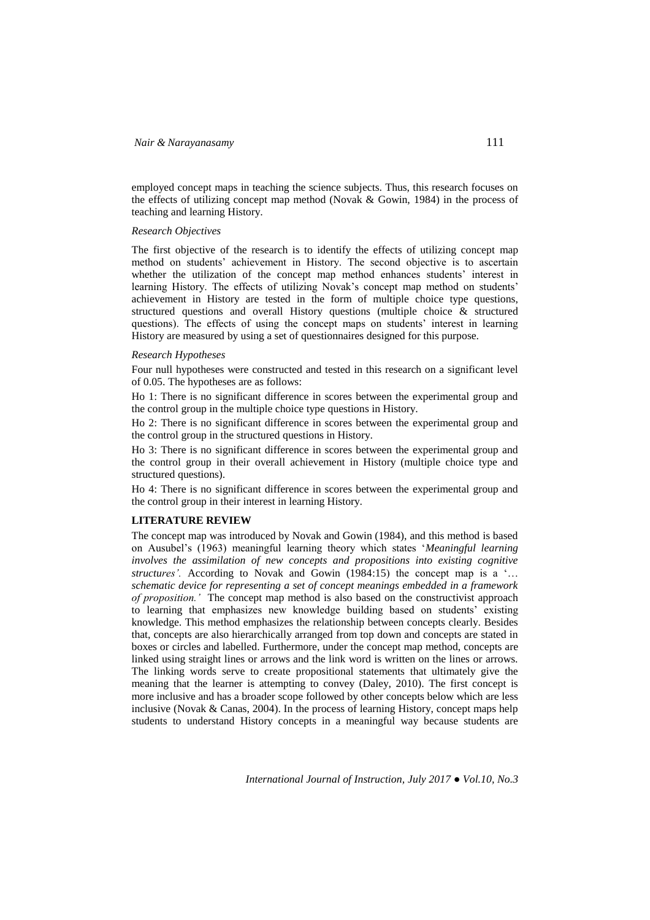employed concept maps in teaching the science subjects. Thus, this research focuses on the effects of utilizing concept map method (Novak & Gowin, 1984) in the process of teaching and learning History.

### *Research Objectives*

The first objective of the research is to identify the effects of utilizing concept map method on students' achievement in History. The second objective is to ascertain whether the utilization of the concept map method enhances students' interest in learning History. The effects of utilizing Novak's concept map method on students' achievement in History are tested in the form of multiple choice type questions, structured questions and overall History questions (multiple choice & structured questions). The effects of using the concept maps on students' interest in learning History are measured by using a set of questionnaires designed for this purpose.

#### *Research Hypotheses*

Four null hypotheses were constructed and tested in this research on a significant level of 0.05. The hypotheses are as follows:

Ho 1: There is no significant difference in scores between the experimental group and the control group in the multiple choice type questions in History.

Ho 2: There is no significant difference in scores between the experimental group and the control group in the structured questions in History.

Ho 3: There is no significant difference in scores between the experimental group and the control group in their overall achievement in History (multiple choice type and structured questions).

Ho 4: There is no significant difference in scores between the experimental group and the control group in their interest in learning History.

### **LITERATURE REVIEW**

The concept map was introduced by Novak and Gowin (1984), and this method is based on Ausubel's (1963) meaningful learning theory which states '*Meaningful learning involves the assimilation of new concepts and propositions into existing cognitive structures'.* According to Novak and Gowin (1984:15) the concept map is a '… *schematic device for representing a set of concept meanings embedded in a framework of proposition.'* The concept map method is also based on the constructivist approach to learning that emphasizes new knowledge building based on students' existing knowledge. This method emphasizes the relationship between concepts clearly. Besides that, concepts are also hierarchically arranged from top down and concepts are stated in boxes or circles and labelled. Furthermore, under the concept map method, concepts are linked using straight lines or arrows and the link word is written on the lines or arrows. The linking words serve to create propositional statements that ultimately give the meaning that the learner is attempting to convey (Daley, 2010). The first concept is more inclusive and has a broader scope followed by other concepts below which are less inclusive (Novak & Canas, 2004). In the process of learning History, concept maps help students to understand History concepts in a meaningful way because students are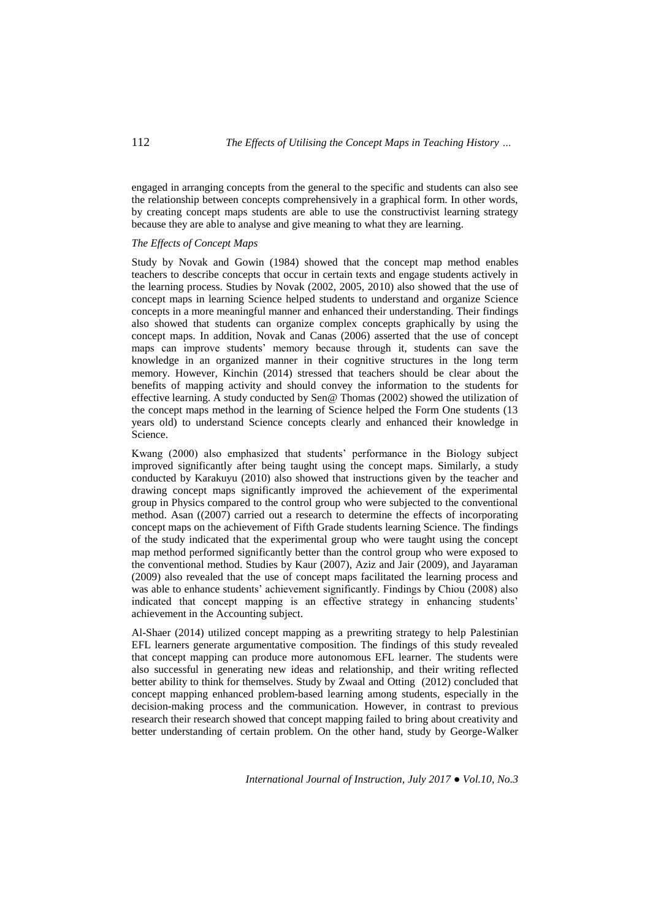engaged in arranging concepts from the general to the specific and students can also see the relationship between concepts comprehensively in a graphical form. In other words, by creating concept maps students are able to use the constructivist learning strategy because they are able to analyse and give meaning to what they are learning.

### *The Effects of Concept Maps*

Study by Novak and Gowin (1984) showed that the concept map method enables teachers to describe concepts that occur in certain texts and engage students actively in the learning process. Studies by Novak (2002, 2005, 2010) also showed that the use of concept maps in learning Science helped students to understand and organize Science concepts in a more meaningful manner and enhanced their understanding. Their findings also showed that students can organize complex concepts graphically by using the concept maps. In addition, Novak and Canas (2006) asserted that the use of concept maps can improve students' memory because through it, students can save the knowledge in an organized manner in their cognitive structures in the long term memory. However, Kinchin (2014) stressed that teachers should be clear about the benefits of mapping activity and should convey the information to the students for effective learning. A study conducted by Sen@ Thomas (2002) showed the utilization of the concept maps method in the learning of Science helped the Form One students (13 years old) to understand Science concepts clearly and enhanced their knowledge in Science.

Kwang (2000) also emphasized that students' performance in the Biology subject improved significantly after being taught using the concept maps. Similarly, a study conducted by Karakuyu (2010) also showed that instructions given by the teacher and drawing concept maps significantly improved the achievement of the experimental group in Physics compared to the control group who were subjected to the conventional method. Asan ((2007) carried out a research to determine the effects of incorporating concept maps on the achievement of Fifth Grade students learning Science. The findings of the study indicated that the experimental group who were taught using the concept map method performed significantly better than the control group who were exposed to the conventional method. Studies by Kaur (2007), Aziz and Jair (2009), and Jayaraman (2009) also revealed that the use of concept maps facilitated the learning process and was able to enhance students' achievement significantly. Findings by Chiou (2008) also indicated that concept mapping is an effective strategy in enhancing students' achievement in the Accounting subject.

Al-Shaer (2014) utilized concept mapping as a prewriting strategy to help Palestinian EFL learners generate argumentative composition. The findings of this study revealed that concept mapping can produce more autonomous EFL learner. The students were also successful in generating new ideas and relationship, and their writing reflected better ability to think for themselves. Study by Zwaal and Otting (2012) concluded that concept mapping enhanced problem-based learning among students, especially in the decision-making process and the communication. However, in contrast to previous research their research showed that concept mapping failed to bring about creativity and better understanding of certain problem. On the other hand, study by George-Walker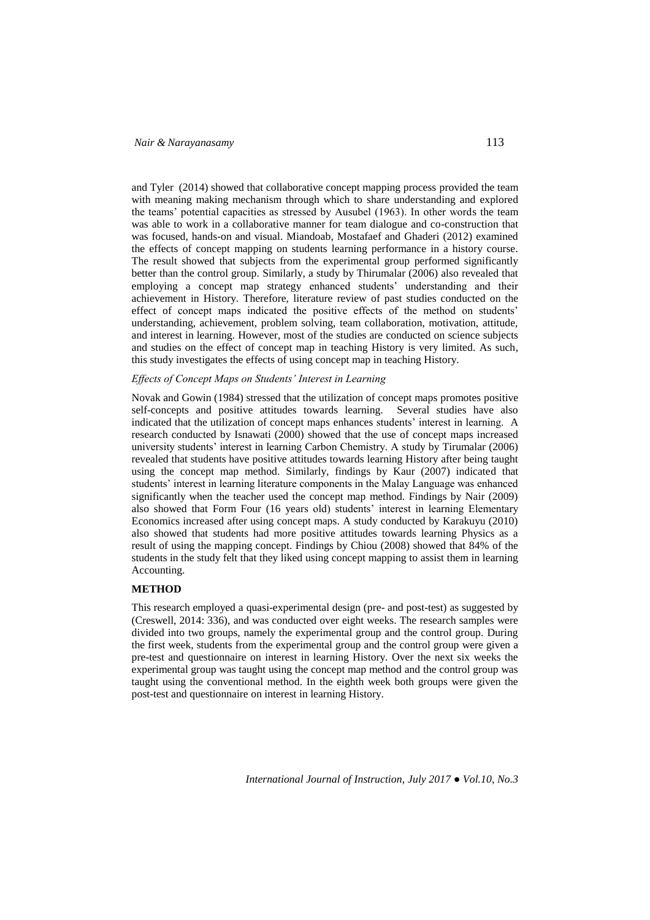## *Nair & Narayanasamy* 113

and Tyler (2014) showed that collaborative concept mapping process provided the team with meaning making mechanism through which to share understanding and explored the teams' potential capacities as stressed by Ausubel (1963). In other words the team was able to work in a collaborative manner for team dialogue and co-construction that was focused, hands-on and visual. Miandoab, Mostafaef and Ghaderi (2012) examined the effects of concept mapping on students learning performance in a history course. The result showed that subjects from the experimental group performed significantly better than the control group. Similarly, a study by Thirumalar (2006) also revealed that employing a concept map strategy enhanced students' understanding and their achievement in History. Therefore, literature review of past studies conducted on the effect of concept maps indicated the positive effects of the method on students' understanding, achievement, problem solving, team collaboration, motivation, attitude, and interest in learning. However, most of the studies are conducted on science subjects and studies on the effect of concept map in teaching History is very limited. As such, this study investigates the effects of using concept map in teaching History.

### *Effects of Concept Maps on Students' Interest in Learning*

Novak and Gowin (1984) stressed that the utilization of concept maps promotes positive self-concepts and positive attitudes towards learning. Several studies have also indicated that the utilization of concept maps enhances students' interest in learning. A research conducted by Isnawati (2000) showed that the use of concept maps increased university students' interest in learning Carbon Chemistry. A study by Tirumalar (2006) revealed that students have positive attitudes towards learning History after being taught using the concept map method. Similarly, findings by Kaur (2007) indicated that students' interest in learning literature components in the Malay Language was enhanced significantly when the teacher used the concept map method. Findings by Nair (2009) also showed that Form Four (16 years old) students' interest in learning Elementary Economics increased after using concept maps. A study conducted by Karakuyu (2010) also showed that students had more positive attitudes towards learning Physics as a result of using the mapping concept. Findings by Chiou (2008) showed that 84% of the students in the study felt that they liked using concept mapping to assist them in learning Accounting.

#### **METHOD**

This research employed a quasi-experimental design (pre- and post-test) as suggested by (Creswell, 2014: 336), and was conducted over eight weeks. The research samples were divided into two groups, namely the experimental group and the control group. During the first week, students from the experimental group and the control group were given a pre-test and questionnaire on interest in learning History. Over the next six weeks the experimental group was taught using the concept map method and the control group was taught using the conventional method. In the eighth week both groups were given the post-test and questionnaire on interest in learning History.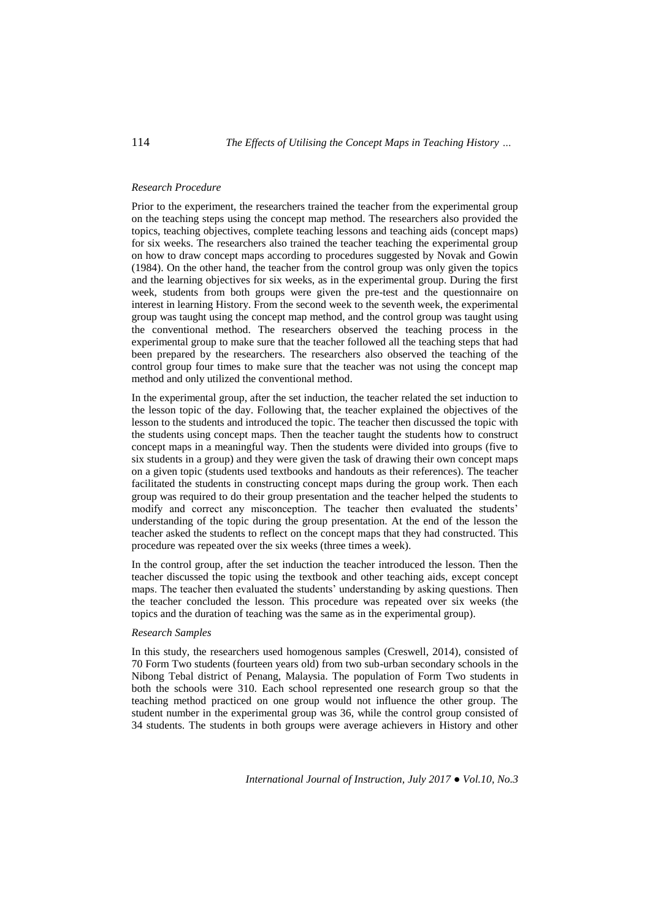## *Research Procedure*

Prior to the experiment, the researchers trained the teacher from the experimental group on the teaching steps using the concept map method. The researchers also provided the topics, teaching objectives, complete teaching lessons and teaching aids (concept maps) for six weeks. The researchers also trained the teacher teaching the experimental group on how to draw concept maps according to procedures suggested by Novak and Gowin (1984). On the other hand, the teacher from the control group was only given the topics and the learning objectives for six weeks, as in the experimental group. During the first week, students from both groups were given the pre-test and the questionnaire on interest in learning History. From the second week to the seventh week, the experimental group was taught using the concept map method, and the control group was taught using the conventional method. The researchers observed the teaching process in the experimental group to make sure that the teacher followed all the teaching steps that had been prepared by the researchers. The researchers also observed the teaching of the control group four times to make sure that the teacher was not using the concept map method and only utilized the conventional method.

In the experimental group, after the set induction, the teacher related the set induction to the lesson topic of the day. Following that, the teacher explained the objectives of the lesson to the students and introduced the topic. The teacher then discussed the topic with the students using concept maps. Then the teacher taught the students how to construct concept maps in a meaningful way. Then the students were divided into groups (five to six students in a group) and they were given the task of drawing their own concept maps on a given topic (students used textbooks and handouts as their references). The teacher facilitated the students in constructing concept maps during the group work. Then each group was required to do their group presentation and the teacher helped the students to modify and correct any misconception. The teacher then evaluated the students' understanding of the topic during the group presentation. At the end of the lesson the teacher asked the students to reflect on the concept maps that they had constructed. This procedure was repeated over the six weeks (three times a week).

In the control group, after the set induction the teacher introduced the lesson. Then the teacher discussed the topic using the textbook and other teaching aids, except concept maps. The teacher then evaluated the students' understanding by asking questions. Then the teacher concluded the lesson. This procedure was repeated over six weeks (the topics and the duration of teaching was the same as in the experimental group).

### *Research Samples*

In this study, the researchers used homogenous samples (Creswell, 2014), consisted of 70 Form Two students (fourteen years old) from two sub-urban secondary schools in the Nibong Tebal district of Penang, Malaysia. The population of Form Two students in both the schools were 310. Each school represented one research group so that the teaching method practiced on one group would not influence the other group. The student number in the experimental group was 36, while the control group consisted of 34 students. The students in both groups were average achievers in History and other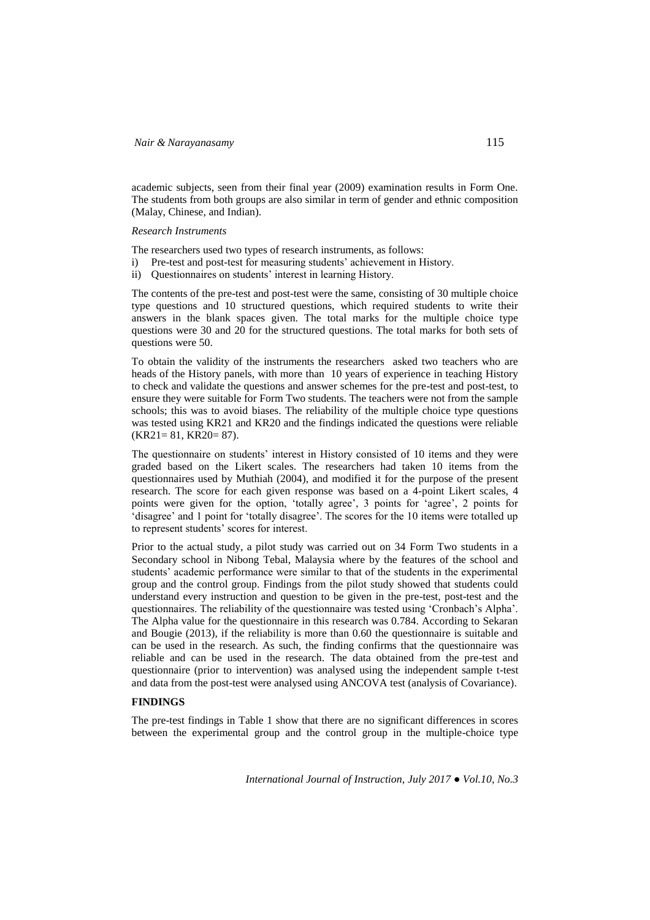academic subjects, seen from their final year (2009) examination results in Form One. The students from both groups are also similar in term of gender and ethnic composition (Malay, Chinese, and Indian).

### *Research Instruments*

The researchers used two types of research instruments, as follows:

- i) Pre-test and post-test for measuring students' achievement in History.
- ii) Questionnaires on students' interest in learning History.

The contents of the pre-test and post-test were the same, consisting of 30 multiple choice type questions and 10 structured questions, which required students to write their answers in the blank spaces given. The total marks for the multiple choice type questions were 30 and 20 for the structured questions. The total marks for both sets of questions were 50.

To obtain the validity of the instruments the researchers asked two teachers who are heads of the History panels, with more than 10 years of experience in teaching History to check and validate the questions and answer schemes for the pre-test and post-test, to ensure they were suitable for Form Two students. The teachers were not from the sample schools; this was to avoid biases. The reliability of the multiple choice type questions was tested using KR21 and KR20 and the findings indicated the questions were reliable (KR21= 81, KR20= 87).

The questionnaire on students' interest in History consisted of 10 items and they were graded based on the Likert scales. The researchers had taken 10 items from the questionnaires used by Muthiah (2004), and modified it for the purpose of the present research. The score for each given response was based on a 4-point Likert scales, 4 points were given for the option, 'totally agree', 3 points for 'agree', 2 points for 'disagree' and 1 point for 'totally disagree'. The scores for the 10 items were totalled up to represent students' scores for interest.

Prior to the actual study, a pilot study was carried out on 34 Form Two students in a Secondary school in Nibong Tebal, Malaysia where by the features of the school and students' academic performance were similar to that of the students in the experimental group and the control group. Findings from the pilot study showed that students could understand every instruction and question to be given in the pre-test, post-test and the questionnaires. The reliability of the questionnaire was tested using 'Cronbach's Alpha'. The Alpha value for the questionnaire in this research was 0.784. According to Sekaran and Bougie (2013), if the reliability is more than 0.60 the questionnaire is suitable and can be used in the research. As such, the finding confirms that the questionnaire was reliable and can be used in the research. The data obtained from the pre-test and questionnaire (prior to intervention) was analysed using the independent sample t-test and data from the post-test were analysed using ANCOVA test (analysis of Covariance).

### **FINDINGS**

The pre-test findings in Table 1 show that there are no significant differences in scores between the experimental group and the control group in the multiple-choice type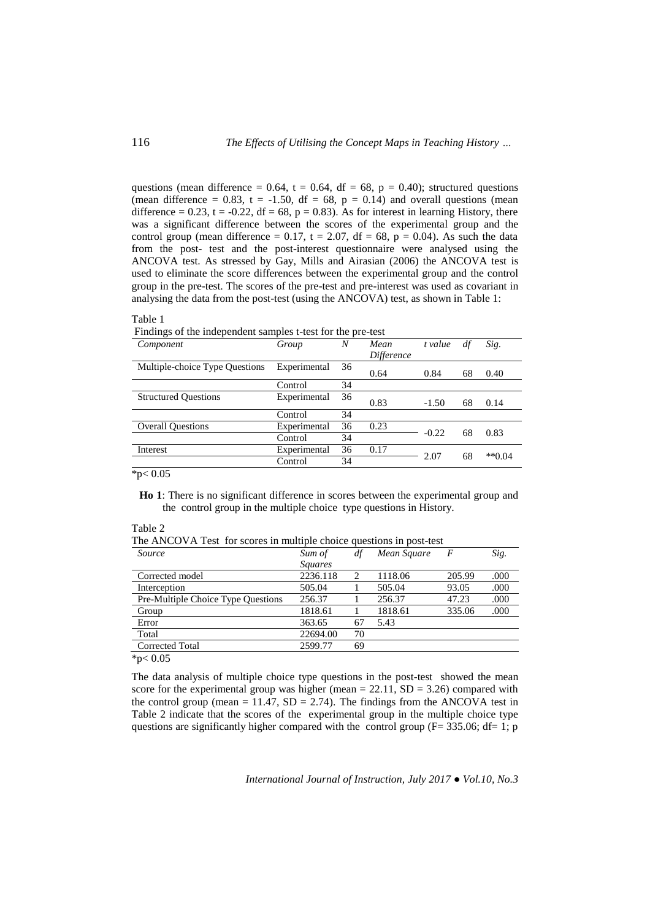questions (mean difference = 0.64, t = 0.64, df = 68, p = 0.40); structured questions (mean difference =  $0.83$ , t =  $-1.50$ , df =  $68$ , p =  $0.14$ ) and overall questions (mean difference = 0.23, t = -0.22, df = 68, p = 0.83). As for interest in learning History, there was a significant difference between the scores of the experimental group and the control group (mean difference = 0.17,  $t = 2.07$ ,  $df = 68$ ,  $p = 0.04$ ). As such the data from the post- test and the post-interest questionnaire were analysed using the ANCOVA test. As stressed by Gay, Mills and Airasian (2006) the ANCOVA test is used to eliminate the score differences between the experimental group and the control group in the pre-test. The scores of the pre-test and pre-interest was used as covariant in analysing the data from the post-test (using the ANCOVA) test, as shown in Table 1:

#### Table 1

Findings of the independent samples t-test for the pre-test

| Component                      | Group        | N  | Mean       | t value | df | Sig.      |
|--------------------------------|--------------|----|------------|---------|----|-----------|
|                                |              |    | Difference |         |    |           |
| Multiple-choice Type Questions | Experimental | 36 | 0.64       | 0.84    | 68 | 0.40      |
|                                | Control      | 34 |            |         |    |           |
| <b>Structured Questions</b>    | Experimental | 36 | 0.83       | $-1.50$ | 68 | 0.14      |
|                                | Control      | 34 |            |         |    |           |
| <b>Overall Questions</b>       | Experimental | 36 | 0.23       |         |    |           |
|                                | Control      | 34 |            | $-0.22$ | 68 | 0.83      |
| Interest                       | Experimental | 36 | 0.17       |         |    |           |
|                                | Control      | 34 |            | 2.07    | 68 | $*$ *0.04 |
|                                |              |    |            |         |    |           |

 $*_{p< 0.05}$ 

**Ho 1**: There is no significant difference in scores between the experimental group and the control group in the multiple choice type questions in History.

| able |
|------|
|------|

The ANCOVA Test for scores in multiple choice questions in post-test

| Source                                    | Sum of         | df | Mean Square | F      | Sig. |
|-------------------------------------------|----------------|----|-------------|--------|------|
|                                           | <b>Squares</b> |    |             |        |      |
| Corrected model                           | 2236.118       |    | 1118.06     | 205.99 | .000 |
| Interception                              | 505.04         |    | 505.04      | 93.05  | .000 |
| <b>Pre-Multiple Choice Type Questions</b> | 256.37         |    | 256.37      | 47.23  | .000 |
| Group                                     | 1818.61        |    | 1818.61     | 335.06 | .000 |
| Error                                     | 363.65         | 67 | 5.43        |        |      |
| Total                                     | 22694.00       | 70 |             |        |      |
| <b>Corrected Total</b>                    | 2599.77        | 69 |             |        |      |
| $\sim$ $\sim$ $\sim$                      |                |    |             |        |      |

 $*p< 0.05$ 

The data analysis of multiple choice type questions in the post-test showed the mean score for the experimental group was higher (mean  $= 22.11$ , SD  $= 3.26$ ) compared with the control group (mean  $= 11.47$ , SD  $= 2.74$ ). The findings from the ANCOVA test in Table 2 indicate that the scores of the experimental group in the multiple choice type questions are significantly higher compared with the control group ( $F= 335.06$ ; df= 1; p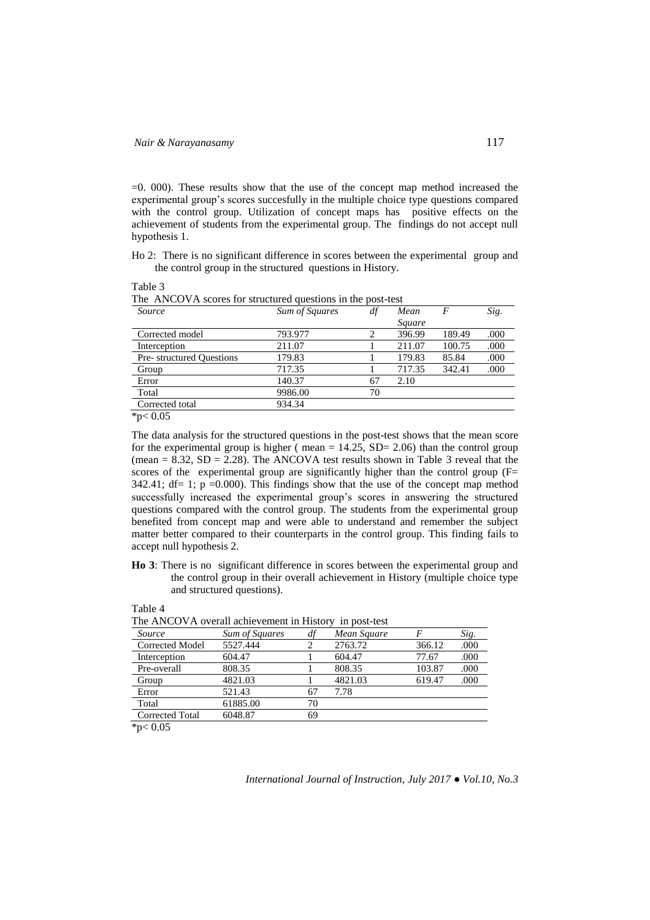$=0.$  000). These results show that the use of the concept map method increased the experimental group's scores succesfully in the multiple choice type questions compared with the control group. Utilization of concept maps has positive effects on the achievement of students from the experimental group. The findings do not accept null hypothesis 1.

Ho 2: There is no significant difference in scores between the experimental group and the control group in the structured questions in History.

| The ANCOVA scores for structured questions in the post-test |                       |    |        |        |      |
|-------------------------------------------------------------|-----------------------|----|--------|--------|------|
| Source                                                      | <b>Sum of Squares</b> | df | Mean   | F      | Sig. |
|                                                             |                       |    | Square |        |      |
| Corrected model                                             | 793.977               |    | 396.99 | 189.49 | .000 |
| Interception                                                | 211.07                |    | 211.07 | 100.75 | .000 |
| Pre-structured Ouestions                                    | 179.83                |    | 179.83 | 85.84  | .000 |
| Group                                                       | 717.35                |    | 717.35 | 342.41 | .000 |
| Error                                                       | 140.37                | 67 | 2.10   |        |      |
| Total                                                       | 9986.00               | 70 |        |        |      |
| Corrected total                                             | 934.34                |    |        |        |      |
| $\sim$ $\sim$ $\sim$                                        |                       |    |        |        |      |

 $*p< 0.05$ 

Table 3

The data analysis for the structured questions in the post-test shows that the mean score for the experimental group is higher ( mean  $= 14.25$ , SD= 2.06) than the control group (mean  $= 8.32$ , SD  $= 2.28$ ). The ANCOVA test results shown in Table 3 reveal that the scores of the experimental group are significantly higher than the control group  $(F=$  $342.41$ ; df= 1; p =0.000). This findings show that the use of the concept map method successfully increased the experimental group's scores in answering the structured questions compared with the control group. The students from the experimental group benefited from concept map and were able to understand and remember the subject matter better compared to their counterparts in the control group. This finding fails to accept null hypothesis 2.

**Ho 3**: There is no significant difference in scores between the experimental group and the control group in their overall achievement in History (multiple choice type and structured questions).

| The ANCOVA overall achievement in History in post-test |                       |    |             |        |      |  |  |
|--------------------------------------------------------|-----------------------|----|-------------|--------|------|--|--|
| Source                                                 | <b>Sum of Squares</b> | df | Mean Square |        | Sig. |  |  |
| <b>Corrected Model</b>                                 | 5527.444              |    | 2763.72     | 366.12 | .000 |  |  |
| Interception                                           | 604.47                |    | 604.47      | 77.67  | .000 |  |  |
| Pre-overall                                            | 808.35                |    | 808.35      | 103.87 | .000 |  |  |
| Group                                                  | 4821.03               |    | 4821.03     | 619.47 | .000 |  |  |
| Error                                                  | 521.43                | 67 | 7.78        |        |      |  |  |
| Total                                                  | 61885.00              | 70 |             |        |      |  |  |
| <b>Corrected Total</b>                                 | 6048.87               | 69 |             |        |      |  |  |
|                                                        |                       |    |             |        |      |  |  |

Table 4

 $*_{p<} 0.05$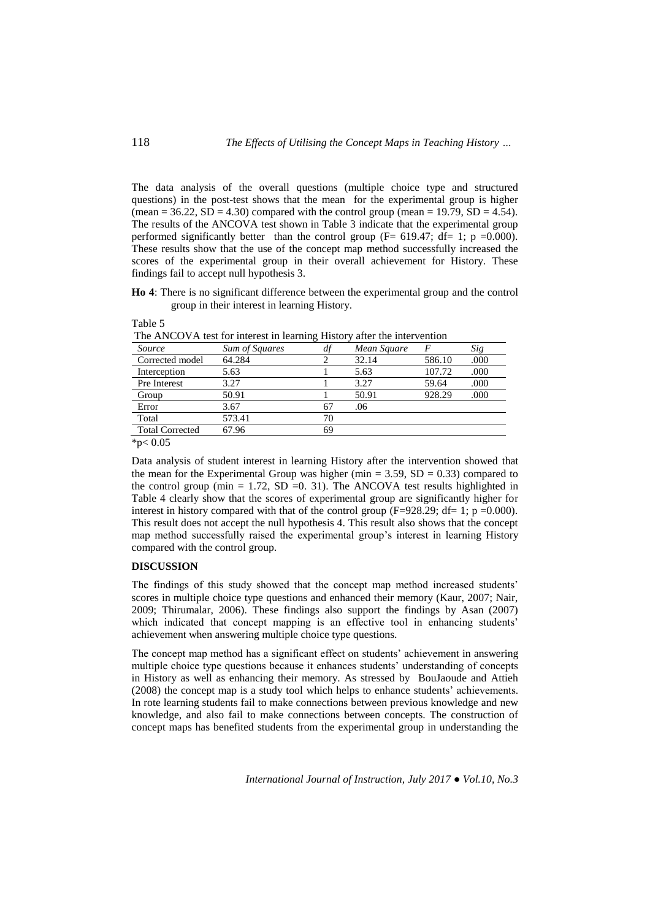The data analysis of the overall questions (multiple choice type and structured questions) in the post-test shows that the mean for the experimental group is higher  $(mean = 36.22, SD = 4.30)$  compared with the control group (mean = 19.79,  $SD = 4.54$ ). The results of the ANCOVA test shown in Table 3 indicate that the experimental group performed significantly better than the control group ( $F= 619.47$ ; df= 1; p =0.000). These results show that the use of the concept map method successfully increased the scores of the experimental group in their overall achievement for History. These findings fail to accept null hypothesis 3.

**Ho 4**: There is no significant difference between the experimental group and the control group in their interest in learning History.

| The ANCOVA test for interest in learning History after the intervention |                |    |             |        |      |  |  |
|-------------------------------------------------------------------------|----------------|----|-------------|--------|------|--|--|
| Source                                                                  | Sum of Squares |    | Mean Square |        | Sig  |  |  |
| Corrected model                                                         | 64.284         |    | 32.14       | 586.10 | .000 |  |  |
| Interception                                                            | 5.63           |    | 5.63        | 107.72 | .000 |  |  |
| Pre Interest                                                            | 3.27           |    | 3.27        | 59.64  | .000 |  |  |
| Group                                                                   | 50.91          |    | 50.91       | 928.29 | .000 |  |  |
| Error                                                                   | 3.67           | 67 | .06         |        |      |  |  |
| Total                                                                   | 573.41         | 70 |             |        |      |  |  |
| <b>Total Corrected</b>                                                  | 67.96          | 69 |             |        |      |  |  |
| $\sim$ $\sim$ $\sim$ $\sim$                                             |                |    |             |        |      |  |  |

 $*p< 0.05$ 

Table 5

Data analysis of student interest in learning History after the intervention showed that the mean for the Experimental Group was higher (min  $= 3.59$ , SD  $= 0.33$ ) compared to the control group (min = 1.72, SD = 0. 31). The ANCOVA test results highlighted in Table 4 clearly show that the scores of experimental group are significantly higher for interest in history compared with that of the control group ( $F=928.29$ ; df= 1; p =0.000). This result does not accept the null hypothesis 4. This result also shows that the concept map method successfully raised the experimental group's interest in learning History compared with the control group.

#### **DISCUSSION**

The findings of this study showed that the concept map method increased students' scores in multiple choice type questions and enhanced their memory (Kaur, 2007; Nair, 2009; Thirumalar, 2006). These findings also support the findings by Asan (2007) which indicated that concept mapping is an effective tool in enhancing students' achievement when answering multiple choice type questions.

The concept map method has a significant effect on students' achievement in answering multiple choice type questions because it enhances students' understanding of concepts in History as well as enhancing their memory. As stressed by BouJaoude and Attieh (2008) the concept map is a study tool which helps to enhance students' achievements. In rote learning students fail to make connections between previous knowledge and new knowledge, and also fail to make connections between concepts. The construction of concept maps has benefited students from the experimental group in understanding the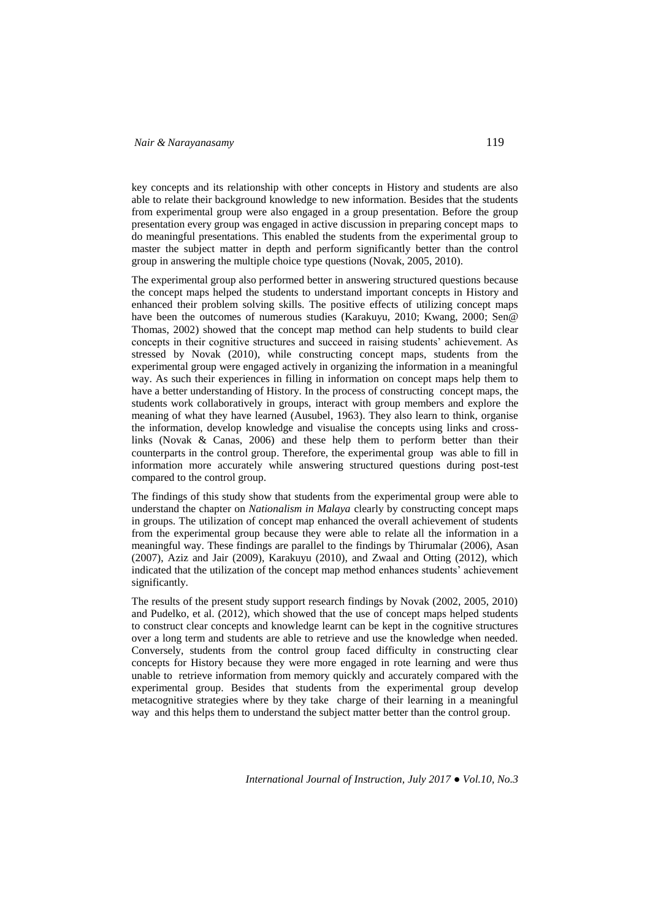key concepts and its relationship with other concepts in History and students are also able to relate their background knowledge to new information. Besides that the students from experimental group were also engaged in a group presentation. Before the group presentation every group was engaged in active discussion in preparing concept maps to do meaningful presentations. This enabled the students from the experimental group to master the subject matter in depth and perform significantly better than the control group in answering the multiple choice type questions (Novak, 2005, 2010).

The experimental group also performed better in answering structured questions because the concept maps helped the students to understand important concepts in History and enhanced their problem solving skills. The positive effects of utilizing concept maps have been the outcomes of numerous studies (Karakuyu, 2010; Kwang, 2000; Sen@ Thomas, 2002) showed that the concept map method can help students to build clear concepts in their cognitive structures and succeed in raising students' achievement. As stressed by Novak (2010), while constructing concept maps, students from the experimental group were engaged actively in organizing the information in a meaningful way. As such their experiences in filling in information on concept maps help them to have a better understanding of History. In the process of constructing concept maps, the students work collaboratively in groups, interact with group members and explore the meaning of what they have learned (Ausubel, 1963). They also learn to think, organise the information, develop knowledge and visualise the concepts using links and crosslinks (Novak & Canas, 2006) and these help them to perform better than their counterparts in the control group. Therefore, the experimental group was able to fill in information more accurately while answering structured questions during post-test compared to the control group.

The findings of this study show that students from the experimental group were able to understand the chapter on *Nationalism in Malaya* clearly by constructing concept maps in groups. The utilization of concept map enhanced the overall achievement of students from the experimental group because they were able to relate all the information in a meaningful way. These findings are parallel to the findings by Thirumalar (2006), Asan (2007), Aziz and Jair (2009), Karakuyu (2010), and Zwaal and Otting (2012), which indicated that the utilization of the concept map method enhances students' achievement significantly.

The results of the present study support research findings by Novak (2002, 2005, 2010) and Pudelko, et al. (2012), which showed that the use of concept maps helped students to construct clear concepts and knowledge learnt can be kept in the cognitive structures over a long term and students are able to retrieve and use the knowledge when needed. Conversely, students from the control group faced difficulty in constructing clear concepts for History because they were more engaged in rote learning and were thus unable to retrieve information from memory quickly and accurately compared with the experimental group. Besides that students from the experimental group develop metacognitive strategies where by they take charge of their learning in a meaningful way and this helps them to understand the subject matter better than the control group.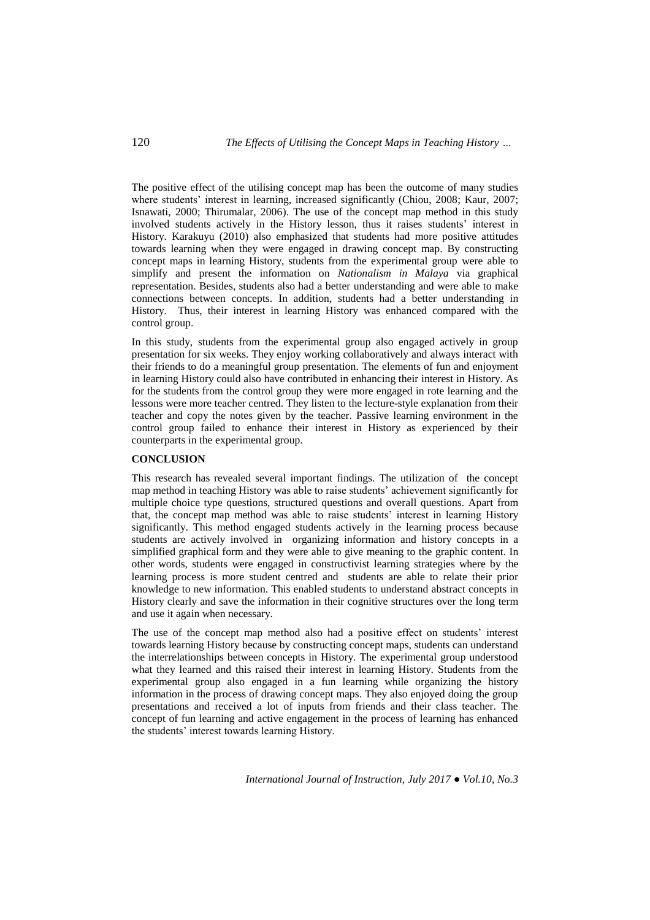The positive effect of the utilising concept map has been the outcome of many studies where students' interest in learning, increased significantly (Chiou, 2008; Kaur, 2007; Isnawati, 2000; Thirumalar, 2006). The use of the concept map method in this study involved students actively in the History lesson, thus it raises students' interest in History. Karakuyu (2010) also emphasized that students had more positive attitudes towards learning when they were engaged in drawing concept map. By constructing concept maps in learning History, students from the experimental group were able to simplify and present the information on *Nationalism in Malaya* via graphical representation. Besides, students also had a better understanding and were able to make connections between concepts. In addition, students had a better understanding in History. Thus, their interest in learning History was enhanced compared with the control group.

In this study, students from the experimental group also engaged actively in group presentation for six weeks. They enjoy working collaboratively and always interact with their friends to do a meaningful group presentation. The elements of fun and enjoyment in learning History could also have contributed in enhancing their interest in History. As for the students from the control group they were more engaged in rote learning and the lessons were more teacher centred. They listen to the lecture-style explanation from their teacher and copy the notes given by the teacher. Passive learning environment in the control group failed to enhance their interest in History as experienced by their counterparts in the experimental group.

## **CONCLUSION**

This research has revealed several important findings. The utilization of the concept map method in teaching History was able to raise students' achievement significantly for multiple choice type questions, structured questions and overall questions. Apart from that, the concept map method was able to raise students' interest in learning History significantly. This method engaged students actively in the learning process because students are actively involved in organizing information and history concepts in a simplified graphical form and they were able to give meaning to the graphic content. In other words, students were engaged in constructivist learning strategies where by the learning process is more student centred and students are able to relate their prior knowledge to new information. This enabled students to understand abstract concepts in History clearly and save the information in their cognitive structures over the long term and use it again when necessary.

The use of the concept map method also had a positive effect on students' interest towards learning History because by constructing concept maps, students can understand the interrelationships between concepts in History. The experimental group understood what they learned and this raised their interest in learning History. Students from the experimental group also engaged in a fun learning while organizing the history information in the process of drawing concept maps. They also enjoyed doing the group presentations and received a lot of inputs from friends and their class teacher. The concept of fun learning and active engagement in the process of learning has enhanced the students' interest towards learning History.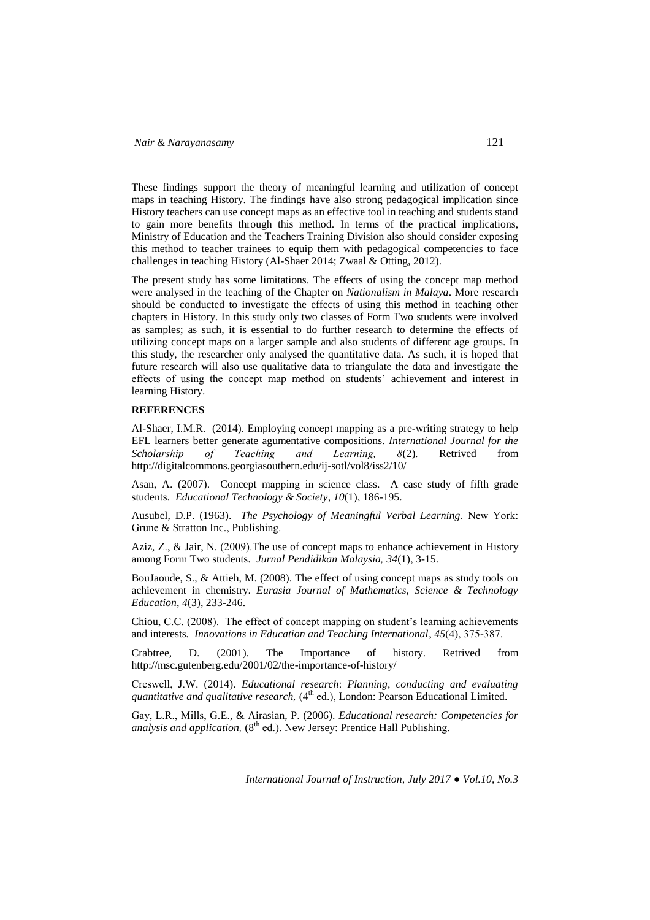These findings support the theory of meaningful learning and utilization of concept maps in teaching History. The findings have also strong pedagogical implication since History teachers can use concept maps as an effective tool in teaching and students stand to gain more benefits through this method. In terms of the practical implications, Ministry of Education and the Teachers Training Division also should consider exposing this method to teacher trainees to equip them with pedagogical competencies to face challenges in teaching History (Al-Shaer 2014; Zwaal & Otting, 2012).

The present study has some limitations. The effects of using the concept map method were analysed in the teaching of the Chapter on *Nationalism in Malaya*. More research should be conducted to investigate the effects of using this method in teaching other chapters in History. In this study only two classes of Form Two students were involved as samples; as such, it is essential to do further research to determine the effects of utilizing concept maps on a larger sample and also students of different age groups. In this study, the researcher only analysed the quantitative data. As such, it is hoped that future research will also use qualitative data to triangulate the data and investigate the effects of using the concept map method on students' achievement and interest in learning History.

#### **REFERENCES**

Al-Shaer, I*.*M.R. (2014). Employing concept mapping as a pre-writing strategy to help EFL learners better generate agumentative compositions. *International Journal for the Scholarship of Teaching and Learning, 8*(2)*.* Retrived from <http://digitalcommons.georgiasouthern.edu/ij-sotl/vol8/iss2/10/>

Asan, A. (2007). Concept mapping in science class. A case study of fifth grade students. *Educational Technology & Society*, *10*(1), 186-195.

Ausubel, D.P. (1963). *The Psychology of Meaningful Verbal Learning*. New York: Grune & Stratton Inc., Publishing.

Aziz, Z., & Jair, N. (2009).The use of concept maps to enhance achievement in History among Form Two students. *Jurnal Pendidikan Malaysia, 34*(1), 3-15.

BouJaoude, S., & Attieh, M. (2008). The effect of using concept maps as study tools on achievement in chemistry. *Eurasia Journal of Mathematics, Science & Technology Education*, *4*(3), 233-246.

Chiou, C.C. (2008). The effect of concept mapping on student's learning achievements and interests*. Innovations in Education and Teaching International*, *45*(4), 375-387.

Crabtree, D. (2001). The Importance of history. Retrived from <http://msc.gutenberg.edu/2001/02/the-importance-of-history/>

Creswell, J.W. (2014). *Educational research*: *Planning, conducting and evaluating quantitative and qualitative research,* (4 th ed.), London: Pearson Educational Limited.

Gay, L.R., Mills, G.E., & Airasian, P. (2006). *Educational research: Competencies for analysis and application*, (8<sup>th</sup> ed.). New Jersey: Prentice Hall Publishing.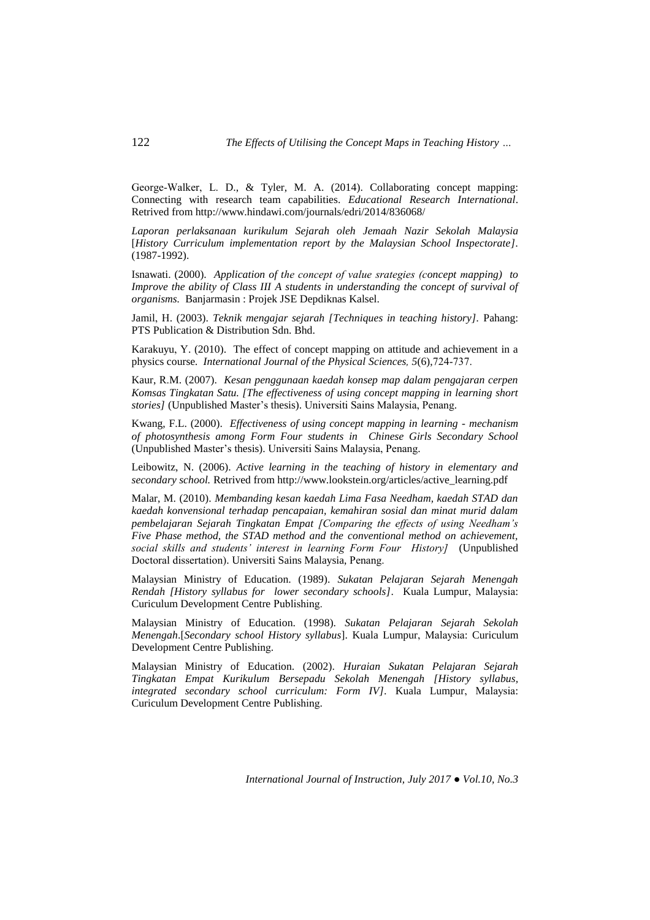George-Walker, L. D., & Tyler, M. A. (2014). Collaborating concept mapping: Connecting with research team capabilities. *Educational Research International*. Retrived from<http://www.hindawi.com/journals/edri/2014/836068/>

*Laporan perlaksanaan kurikulum Sejarah oleh Jemaah Nazir Sekolah Malaysia* [*History Curriculum implementation report by the Malaysian School Inspectorate].* (1987-1992).

Isnawati. (2000). *Application of the concept of value srategies (concept mapping) to Improve the ability of Class III A students in understanding the concept of survival of organisms.* Banjarmasin : Projek JSE Depdiknas Kalsel.

Jamil, H. (2003). *Teknik mengajar sejarah [Techniques in teaching history].* Pahang: PTS Publication & Distribution Sdn. Bhd.

Karakuyu, Y. (2010). The effect of concept mapping on attitude and achievement in a physics course*. International Journal of the Physical Sciences, 5*(6),724-737.

Kaur, R.M. (2007). *Kesan penggunaan kaedah konsep map dalam pengajaran cerpen Komsas Tingkatan Satu. [The effectiveness of using concept mapping in learning short stories]* (Unpublished Master's thesis). Universiti Sains Malaysia, Penang.

Kwang, F.L. (2000). *Effectiveness of using concept mapping in learning - mechanism of photosynthesis among Form Four students in Chinese Girls Secondary School* (Unpublished Master's thesis). Universiti Sains Malaysia, Penang.

Leibowitz, N. (2006). *Active learning in the teaching of history in elementary and secondary school.* Retrived from [http://www.lookstein.org/articles/active\\_learning.pdf](http://www.lookstein.org/articles/active_learning.pdf)

Malar, M. (2010). *Membanding kesan kaedah Lima Fasa Needham, kaedah STAD dan kaedah konvensional terhadap pencapaian, kemahiran sosial dan minat murid dalam pembelajaran Sejarah Tingkatan Empat [Comparing the effects of using Needham's Five Phase method, the STAD method and the conventional method on achievement, social skills and students' interest in learning Form Four History]* (Unpublished Doctoral dissertation). Universiti Sains Malaysia, Penang.

Malaysian Ministry of Education. (1989). *Sukatan Pelajaran Sejarah Menengah Rendah [History syllabus for lower secondary schools]*. Kuala Lumpur, Malaysia: Curiculum Development Centre Publishing.

Malaysian Ministry of Education. (1998). *Sukatan Pelajaran Sejarah Sekolah Menengah*.[*Secondary school History syllabus*]. Kuala Lumpur, Malaysia: Curiculum Development Centre Publishing.

Malaysian Ministry of Education. (2002). *Huraian Sukatan Pelajaran Sejarah Tingkatan Empat Kurikulum Bersepadu Sekolah Menengah [History syllabus, integrated secondary school curriculum: Form IV].* Kuala Lumpur, Malaysia: Curiculum Development Centre Publishing.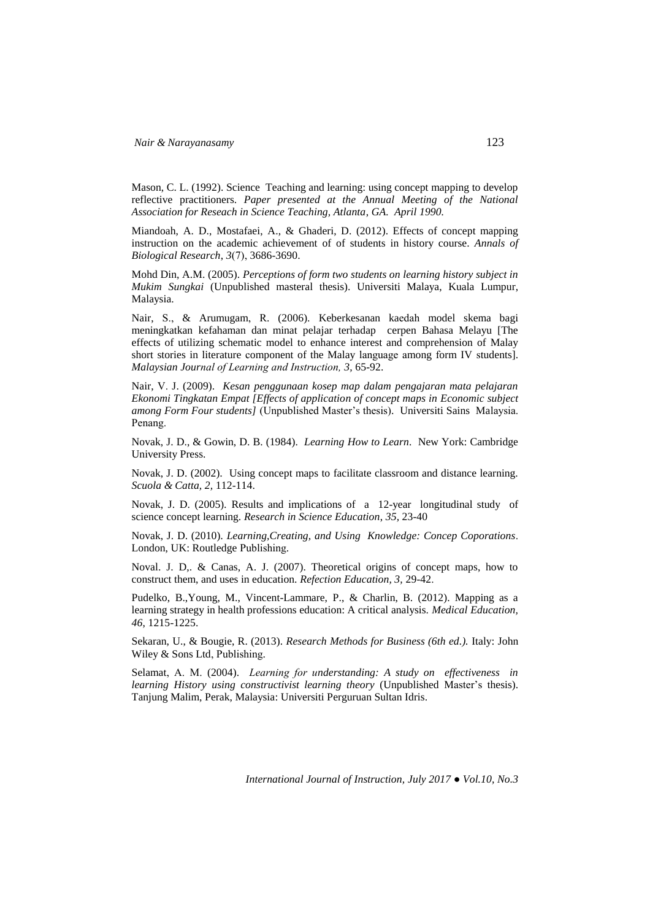Mason, C. L. (1992). Science Teaching and learning: using concept mapping to develop reflective practitioners. *Paper presented at the Annual Meeting of the National Association for Reseach in Science Teaching, Atlanta*, *GA. April 1990.*

Miandoah, A. D., Mostafaei, A., & Ghaderi, D. (2012). Effects of concept mapping instruction on the academic achievement of of students in history course. *Annals of Biological Research*, *3*(7), 3686-3690.

Mohd Din, A.M. (2005). *Perceptions of form two students on learning history subject in Mukim Sungkai* (Unpublished masteral thesis). Universiti Malaya, Kuala Lumpur, Malaysia.

Nair, S., & Arumugam, R. (2006). Keberkesanan kaedah model skema bagi meningkatkan kefahaman dan minat pelajar terhadap cerpen Bahasa Melayu [The effects of utilizing schematic model to enhance interest and comprehension of Malay short stories in literature component of the Malay language among form IV students]. *Malaysian Journal of Learning and Instruction, 3,* 65-92.

Nair, V. J. (2009). *Kesan penggunaan kosep map dalam pengajaran mata pelajaran Ekonomi Tingkatan Empat [Effects of application of concept maps in Economic subject among Form Four students]* (Unpublished Master's thesis). Universiti Sains Malaysia. Penang.

Novak, J. D., & Gowin, D. B. (1984). *Learning How to Learn*. New York: Cambridge University Press.

Novak, J. D. (2002)*.* Using concept maps to facilitate classroom and distance learning. *Scuola & Catta, 2,* 112-114.

Novak, J. D. (2005)*.* Results and implications of a 12-year longitudinal study of science concept learning. *Research in Science Education*, *35,* 23-40

Novak, J. D. (2010)*. Learning,Creating, and Using Knowledge: Concep Coporations*. London, UK: Routledge Publishing.

Noval. J. D,. & Canas, A. J. (2007). Theoretical origins of concept maps, how to construct them, and uses in education. *Refection Education, 3,* 29-42.

Pudelko, B.,Young, M., Vincent-Lammare, P., & Charlin, B. (2012). Mapping as a learning strategy in health professions education: A critical analysis. *Medical Education, 46*, 1215-1225.

Sekaran, U., & Bougie, R. (2013). *Research Methods for Business (6th ed.).* Italy: John Wiley & Sons Ltd, Publishing.

Selamat, A. M. (2004). *Learning for understanding: A study on effectiveness in learning History using constructivist learning theory* (Unpublished Master's thesis). Tanjung Malim, Perak, Malaysia: Universiti Perguruan Sultan Idris.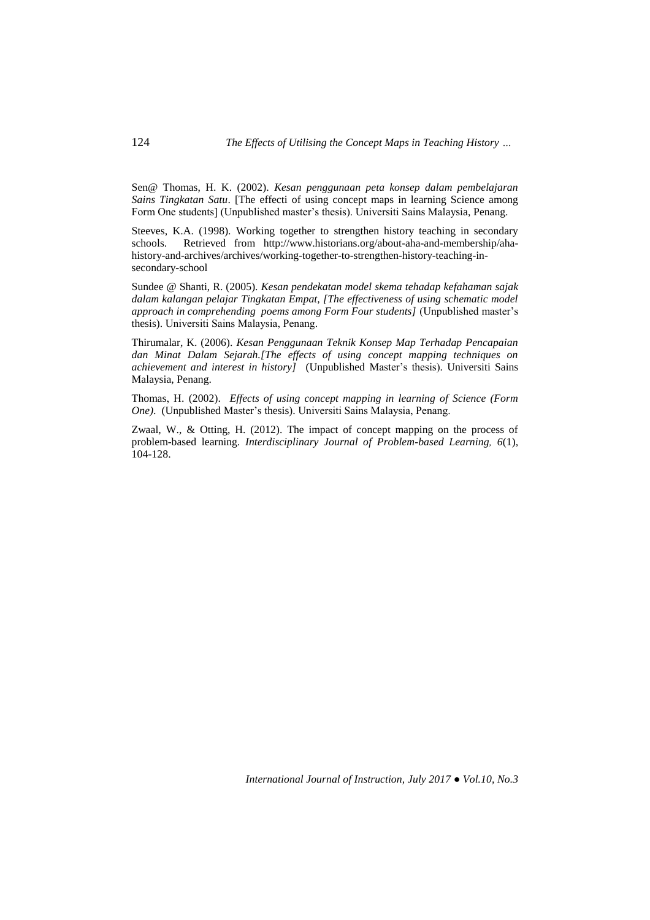Sen@ Thomas, H. K. (2002). *Kesan penggunaan peta konsep dalam pembelajaran Sains Tingkatan Satu*. [The effecti of using concept maps in learning Science among Form One students] (Unpublished master's thesis). Universiti Sains Malaysia, Penang.

Steeves, K.A. (1998). Working together to strengthen history teaching in secondary schools. Retrieved from [http://www.historians.org/about-aha-and-membership/aha](http://www.historians.org/about-aha-and-membership/aha-history-and-archives/archives/working-together-to-strengthen-history-teaching-in-secondary-school)[history-and-archives/archives/working-together-to-strengthen-history-teaching-in](http://www.historians.org/about-aha-and-membership/aha-history-and-archives/archives/working-together-to-strengthen-history-teaching-in-secondary-school)[secondary-school](http://www.historians.org/about-aha-and-membership/aha-history-and-archives/archives/working-together-to-strengthen-history-teaching-in-secondary-school)

Sundee @ Shanti, R. (2005). *Kesan pendekatan model skema tehadap kefahaman sajak dalam kalangan pelajar Tingkatan Empat, [The effectiveness of using schematic model approach in comprehending poems among Form Four students]* (Unpublished master's thesis). Universiti Sains Malaysia, Penang.

Thirumalar, K. (2006). *Kesan Penggunaan Teknik Konsep Map Terhadap Pencapaian dan Minat Dalam Sejarah.[The effects of using concept mapping techniques on achievement and interest in history]* (Unpublished Master's thesis). Universiti Sains Malaysia, Penang.

Thomas, H. (2002). *Effects of using concept mapping in learning of Science (Form One)*. (Unpublished Master's thesis). Universiti Sains Malaysia, Penang.

Zwaal, W., & Otting, H. (2012). The impact of concept mapping on the process of problem-based learning. *Interdisciplinary Journal of Problem-based Learning, 6*(1), 104-128.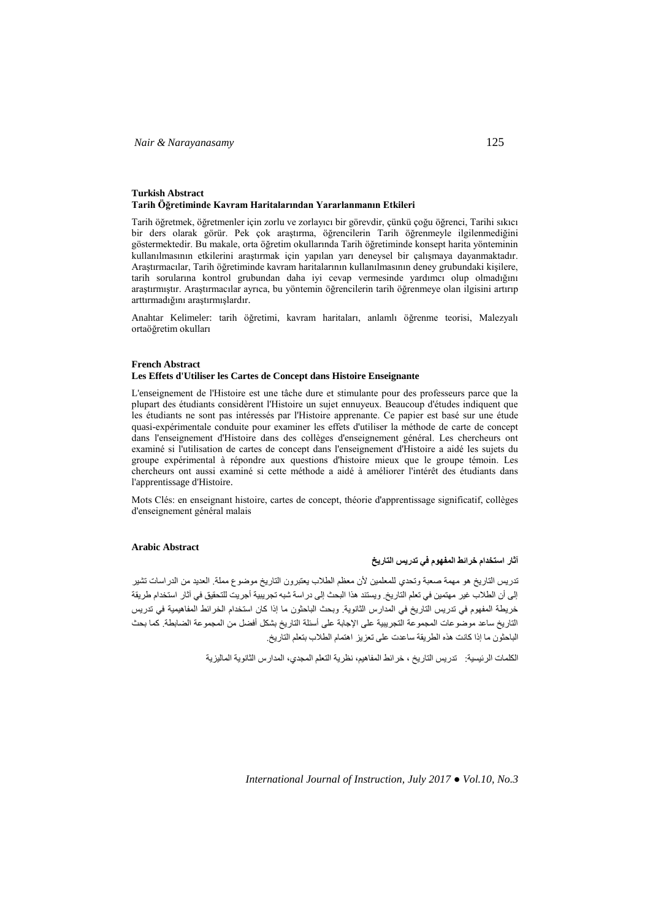*Nair & Narayanasamy* 125

### **Turkish Abstract Tarih Öğretiminde Kavram Haritalarından Yararlanmanın Etkileri**

Tarih öğretmek, öğretmenler için zorlu ve zorlayıcı bir görevdir, çünkü çoğu öğrenci, Tarihi sıkıcı bir ders olarak görür. Pek çok araştırma, öğrencilerin Tarih öğrenmeyle ilgilenmediğini göstermektedir. Bu makale, orta öğretim okullarında Tarih öğretiminde konsept harita yönteminin kullanılmasının etkilerini araştırmak için yapılan yarı deneysel bir çalışmaya dayanmaktadır. Araştırmacılar, Tarih öğretiminde kavram haritalarının kullanılmasının deney grubundaki kişilere, tarih sorularına kontrol grubundan daha iyi cevap vermesinde yardımcı olup olmadığını araştırmıştır. Araştırmacılar ayrıca, bu yöntemin öğrencilerin tarih öğrenmeye olan ilgisini artırıp arttırmadığını araştırmışlardır.

Anahtar Kelimeler: tarih öğretimi, kavram haritaları, anlamlı öğrenme teorisi, Malezyalı ortaöğretim okulları

### **French Abstract Les Effets d'Utiliser les Cartes de Concept dans Histoire Enseignante**

L'enseignement de l'Histoire est une tâche dure et stimulante pour des professeurs parce que la plupart des étudiants considèrent l'Histoire un sujet ennuyeux. Beaucoup d'études indiquent que les étudiants ne sont pas intéressés par l'Histoire apprenante. Ce papier est basé sur une étude quasi-expérimentale conduite pour examiner les effets d'utiliser la méthode de carte de concept dans l'enseignement d'Histoire dans des collèges d'enseignement général. Les chercheurs ont examiné si l'utilisation de cartes de concept dans l'enseignement d'Histoire a aidé les sujets du groupe expérimental à répondre aux questions d'histoire mieux que le groupe témoin. Les chercheurs ont aussi examiné si cette méthode a aidé à améliorer l'intérêt des étudiants dans l'apprentissage d'Histoire.

Mots Clés: en enseignant histoire, cartes de concept, théorie d'apprentissage significatif, collèges d'enseignement général malais

## **Arabic Abstract**

## **آثار استخدام خرائط المفهوم في تدريس التاريخ**

تدريس التاريخ هو مهمة صعبة وتحدي للمعلمين لأن معظم الطلاب يعتبرون التاريخ موضوع مملة<sub>.</sub> العديد من الدراسات تشير إلى أن الطالب غير مهتمين في تعلم التاريخ. ويستند هذا البحث إلى دراسة شبه تجريبية أجريت للتحقيق في آثار استخدام طريقة خريطة المفهوم في تدريس التاريخ في المدارس الثانوية. وبحث الباحثون ما إذا كان استخدام الخرائط المفاهيمية في تدريس التاريخ ساعد موضوعات المجموعة التجريبية على اإلجابة على أسئلة التاريخ بشكل أفضل من المجموعة الضابطة. كما بحث الباحثون ما إذا كانت هذه الطريقة ساعدت على تعزيز اهتمام الطالب بتعلم التاريخ.

الكلمات الرئيسية: تدريس التاريخ ، خرائط المفاهيم، نظرية التعلم المجدي، المدارس الثانوية الماليزية